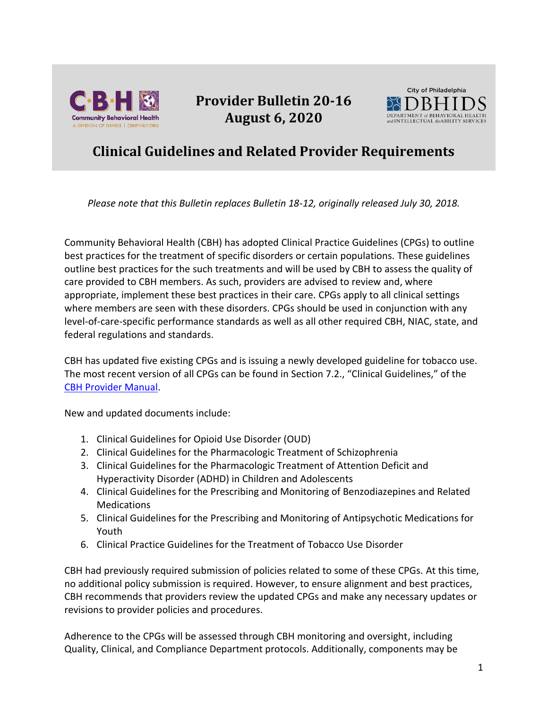

**Provider Bulletin 20-16 August 6, 2020**



## **Clinical Guidelines and Related Provider Requirements**

*Please note that this Bulletin replaces Bulletin 18-12, originally released July 30, 2018.*

Community Behavioral Health (CBH) has adopted Clinical Practice Guidelines (CPGs) to outline best practices for the treatment of specific disorders or certain populations. These guidelines outline best practices for the such treatments and will be used by CBH to assess the quality of care provided to CBH members. As such, providers are advised to review and, where appropriate, implement these best practices in their care. CPGs apply to all clinical settings where members are seen with these disorders. CPGs should be used in conjunction with any level-of-care-specific performance standards as well as all other required CBH, NIAC, state, and federal regulations and standards.

CBH has updated five existing CPGs and is issuing a newly developed guideline for tobacco use. The most recent version of all CPGs can be found in Section 7.2., "Clinical Guidelines," of the [CBH Provider Manual.](https://cbhphilly.org/cbh-providers/oversight-and-monitoring/cbh-provider-manual/)

New and updated documents include:

- 1. Clinical Guidelines for Opioid Use Disorder (OUD)
- 2. Clinical Guidelines for the Pharmacologic Treatment of Schizophrenia
- 3. Clinical Guidelines for the Pharmacologic Treatment of Attention Deficit and Hyperactivity Disorder (ADHD) in Children and Adolescents
- 4. Clinical Guidelines for the Prescribing and Monitoring of Benzodiazepines and Related **Medications**
- 5. Clinical Guidelines for the Prescribing and Monitoring of Antipsychotic Medications for Youth
- 6. Clinical Practice Guidelines for the Treatment of Tobacco Use Disorder

CBH had previously required submission of policies related to some of these CPGs. At this time, no additional policy submission is required. However, to ensure alignment and best practices, CBH recommends that providers review the updated CPGs and make any necessary updates or revisions to provider policies and procedures.

Adherence to the CPGs will be assessed through CBH monitoring and oversight, including Quality, Clinical, and Compliance Department protocols. Additionally, components may be